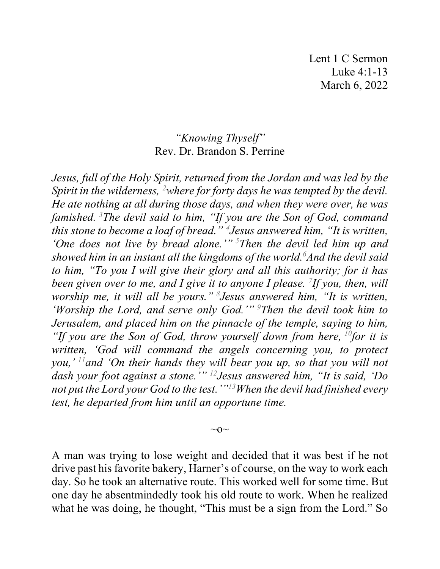## *"Knowing Thyself"* Rev. Dr. Brandon S. Perrine

*Jesus, full of the Holy Spirit, returned from the Jordan and was led by the Spirit in the wilderness, <sup>2</sup> where for forty days he was tempted by the devil. He ate nothing at all during those days, and when they were over, he was famished. <sup>3</sup> The devil said to him, "If you are the Son of God, command this stone to become a loaf of bread." <sup>4</sup> Jesus answered him, "It is written, 'One does not live by bread alone.'" <sup>5</sup> Then the devil led him up and showed him in an instant all the kingdoms of the world.6 And the devil said to him, "To you I will give their glory and all this authority; for it has been given over to me, and I give it to anyone I please. <sup>7</sup> If you, then, will worship me, it will all be yours." <sup>8</sup> Jesus answered him, "It is written, 'Worship the Lord, and serve only God.'" <sup>9</sup> Then the devil took him to Jerusalem, and placed him on the pinnacle of the temple, saying to him, "If you are the Son of God, throw yourself down from here, 10for it is written, 'God will command the angels concerning you, to protect you,' 11and 'On their hands they will bear you up, so that you will not dash your foot against a stone.'" 12Jesus answered him, "It is said, 'Do not put the Lord your God to the test.'"13When the devil had finished every test, he departed from him until an opportune time.*

 $\sim$ O $\sim$ 

A man was trying to lose weight and decided that it was best if he not drive past his favorite bakery, Harner's of course, on the way to work each day. So he took an alternative route. This worked well for some time. But one day he absentmindedly took his old route to work. When he realized what he was doing, he thought, "This must be a sign from the Lord." So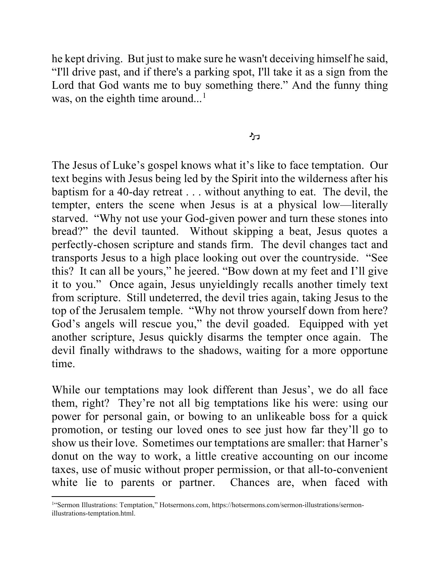he kept driving. But just to make sure he wasn't deceiving himself he said, "I'll drive past, and if there's a parking spot, I'll take it as a sign from the Lord that God wants me to buy something there." And the funny thing was, on the eighth time around...<sup>[1](#page-1-0)</sup>

The Jesus of Luke's gospel knows what it's like to face temptation. Our text begins with Jesus being led by the Spirit into the wilderness after his baptism for a 40-day retreat . . . without anything to eat. The devil, the tempter, enters the scene when Jesus is at a physical low—literally starved. "Why not use your God-given power and turn these stones into bread?" the devil taunted. Without skipping a beat, Jesus quotes a perfectly-chosen scripture and stands firm. The devil changes tact and transports Jesus to a high place looking out over the countryside. "See this? It can all be yours," he jeered. "Bow down at my feet and I'll give it to you." Once again, Jesus unyieldingly recalls another timely text from scripture. Still undeterred, the devil tries again, taking Jesus to the top of the Jerusalem temple. "Why not throw yourself down from here? God's angels will rescue you," the devil goaded. Equipped with yet another scripture, Jesus quickly disarms the tempter once again. The devil finally withdraws to the shadows, waiting for a more opportune time.

While our temptations may look different than Jesus', we do all face them, right? They're not all big temptations like his were: using our power for personal gain, or bowing to an unlikeable boss for a quick promotion, or testing our loved ones to see just how far they'll go to show us their love. Sometimes our temptations are smaller: that Harner's donut on the way to work, a little creative accounting on our income taxes, use of music without proper permission, or that all-to-convenient white lie to parents or partner. Chances are, when faced with

<span id="page-1-0"></span><sup>&</sup>lt;sup>1</sup>"Sermon Illustrations: Temptation," Hotsermons.com, [https://hotsermons.com/sermon-illustrations/sermon](https://hotsermons.com/sermon-illustrations/sermon-illustrations-temptation.html)[illustrations-temptation.html.](https://hotsermons.com/sermon-illustrations/sermon-illustrations-temptation.html)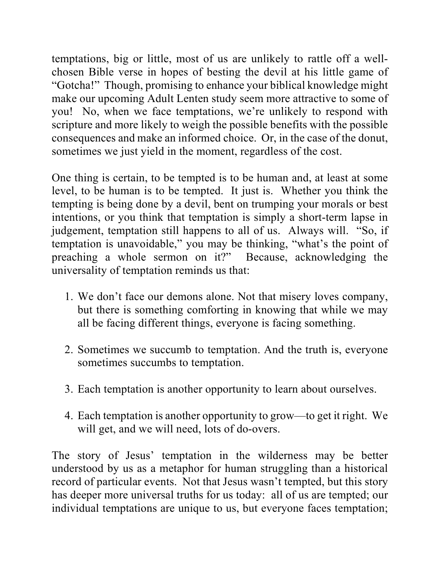temptations, big or little, most of us are unlikely to rattle off a wellchosen Bible verse in hopes of besting the devil at his little game of "Gotcha!" Though, promising to enhance your biblical knowledge might make our upcoming Adult Lenten study seem more attractive to some of you! No, when we face temptations, we're unlikely to respond with scripture and more likely to weigh the possible benefits with the possible consequences and make an informed choice. Or, in the case of the donut, sometimes we just yield in the moment, regardless of the cost.

One thing is certain, to be tempted is to be human and, at least at some level, to be human is to be tempted. It just is. Whether you think the tempting is being done by a devil, bent on trumping your morals or best intentions, or you think that temptation is simply a short-term lapse in judgement, temptation still happens to all of us. Always will. "So, if temptation is unavoidable," you may be thinking, "what's the point of preaching a whole sermon on it?" Because, acknowledging the universality of temptation reminds us that:

- 1. We don't face our demons alone. Not that misery loves company, but there is something comforting in knowing that while we may all be facing different things, everyone is facing something.
- 2. Sometimes we succumb to temptation. And the truth is, everyone sometimes succumbs to temptation.
- 3. Each temptation is another opportunity to learn about ourselves.
- 4. Each temptation is another opportunity to grow—to get it right. We will get, and we will need, lots of do-overs.

The story of Jesus' temptation in the wilderness may be better understood by us as a metaphor for human struggling than a historical record of particular events. Not that Jesus wasn't tempted, but this story has deeper more universal truths for us today: all of us are tempted; our individual temptations are unique to us, but everyone faces temptation;